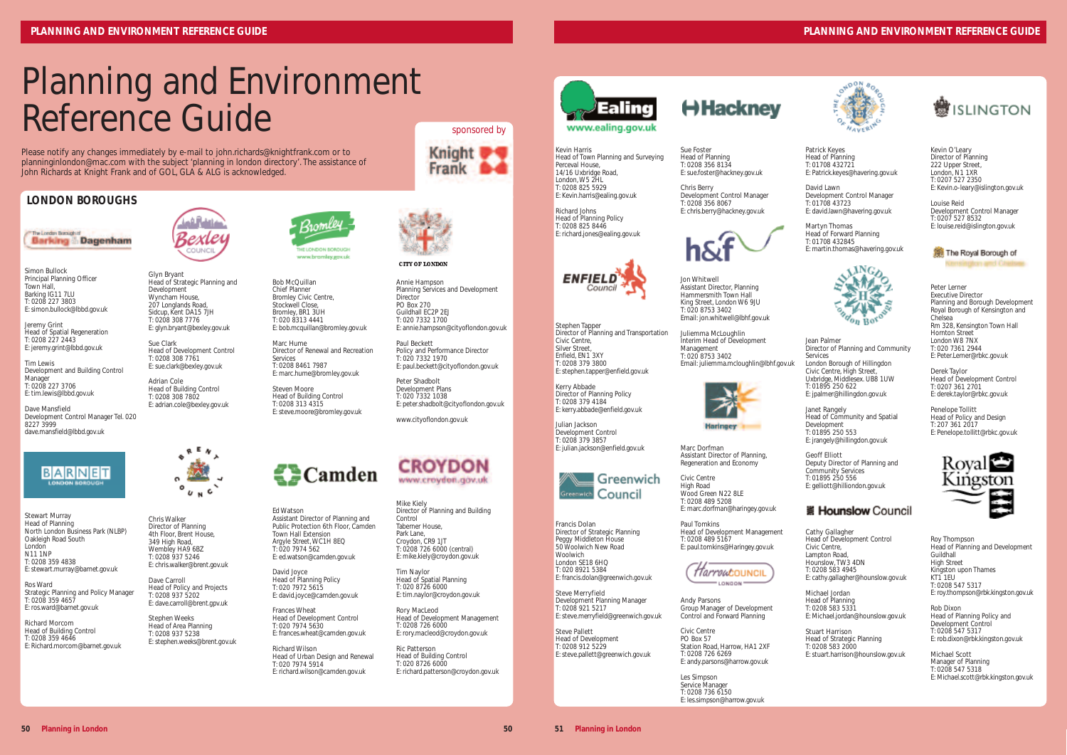Kevin Harris Head of Town Planning and Surveying Perceval House, 14/16 Uxbridge Road, London, W5 2HL T: 0208 825 5929 E: Kevin.harris@ealing.gov.uk

Richard Johns Head of Planning Policy T: 0208 825 8446 E: richard.jones@ealing.gov.uk



Stephen Tapper Director of Planning and Transportation Civic Centre, Silver Street Enfield, EN1 3XY T: 0208 379 3800 E: stephen.tapper@enfield.gov.uk

Kerry Abbade Director of Planning Policy T: 0208 379 4184 E: kerry.abbade@enfield.gov.uk

Julian Jackson Development Control T: 0208 379 3857 E: julian.jackson@enfield.gov.uk



Francis Dolan Director of Strategic Planning Peggy Middleton House 50 Woolwich New Road **Woolwich** London SE18 6HO T: 020 8921 5384 E: francis.dolan@greenwich.gov.uk

Steve Merryfield Development Planning Manager T: 0208 921 5217 E: steve.merryfield@greenwich.gov.uk

Steve Pallett Head of Development T: 0208 912 5229 E: steve.pallett@greenwich.gov.uk

Sue Foster Head of Planning T: 0208 356 8134 E: sue.foster@hackney.gov.uk

Chris Berry Development Control Manager T: 0208 356 8067 E: chris.berry@hackney.gov.uk



Jon Whitwell Assistant Director, Planning Hammersmith Town Hall King Street, London W6 9JU T: 020 8753 3402 Email: jon.whitwell@lbhf.gov.uk

Juliemma McLoughlin Interim Head of Development Management T: 020 8753 3402 Email: juliemma.mcloughlin@lbhf.gov.uk



Marc Dorfman Assistant Director of Planning, Regeneration and Economy

Civic Centre High Road Wood Green N22 8LE T: 0208 489 5208 E: marc.dorfman@haringey.gov.uk

Paul Tomkins Head of Development Management T: 0208 489 5167 E: paul.tomkins@Haringey.gov.uk



Andy Parsons Group Manager of Development Control and Forward Planning

Civic Centre PO Box 57 Station Road, Harrow, HA1 2XF T: 0208 726 6269 E: andy.parsons@harrow.gov.uk

Les Simpson Service Manager T: 0208 736 6150 E: les.simpson@harrow.gov.uk

Patrick Keyes Head of Planning T: 01708 432721 E: Patrick.keyes@havering.gov.uk

David Lawn Development Control Manager T: 01708 43723 E: david.lawn@havering.gov.uk

Martyn Thomas Head of Forward Planning T: 01708 432845 E: martin.thomas@havering.gov.uk



#### Jean Palmer

Director of Planning and Community Services London Borough of Hillingdon Civic Centre, High Street, Uxbridge, Middlesex. UB8 1UW T: 01895 250 622

E: jpalmer@hillingdon.gov.uk

Janet Rangely Head of Community and Spatial Development T: 01895 250 553 E: jrangely@hillingdon.gov.uk

Geoff Elliott Deputy Director of Planning and Community Services T: 01895 250 556 E: gelliott@hilliondon.gov.uk

#### ※ Hounslow Council

Cathy Gallagher Head of Development Control Civic Centre, Lampton Road. Hounslow, TW3 4DN T: 0208 583 4945 E: cathy.gallagher@hounslow.gov.uk

Michael Jordan Head of Planning

T: 0208 583 5331 E: Michael.jordan@hounslow.gov.uk

Ed Watson Assistant Director of Planning and Public Protection 6th Floor, Camden Town Hall Extension Argyle Street, WC1H 8EQ T: 020 7974 562  $E:$  ed.watson@camden.gov.uk

> Stuart Harrison Head of Strategic Planning T: 0208 583 2000 E: stuart.harrison@hounslow.gov.uk



Kevin O'Leary Director of Planning 222 Upper Street, London, N1 1XR T: 0207 527 2350 E: Kevin.o-leary@islington.gov.uk

Louise Reid Development Control Manager T: 0207 527 8532 E: louise.reid@islington.gov.uk



Peter Lerner Executive Director Planning and Borough Development Royal Borough of Kensington and Chelsea Rm 328, Kensington Town Hall Hornton Street London W8 7NX T: 020 7361 2944 E: Peter.Lerner@rbkc.gov.uk

Derek Taylor Head of Development Control T: 0207 361 2701 E: derek.taylor@rbkc.gov.uk

Penelope Tollitt Head of Policy and Design T: 207 361 2017 E: Penelope.tollitt@rbkc.gov.uk



Roy Thompson Head of Planning and Development Guildhall High Street Kingston upon Thames  $KT\tilde{1}$  1ELL T: 0208 547 5317 E: roy.thompson@rbk.kingston.gov.uk

Rob Dixon Head of Planning Policy and Development Control T: 0208 547 5317 E: rob.dixon@rbk.kingston.gov.uk

Michael Scott Manager of Planning T: 0208 547 5318 E: Michael.scott@rbk.kingston.gov.uk

### **PLANNING AND ENVIRONMENT REFERENCE GUIDE**



### **LONDON BOROUGHS**



Simon Bullock Principal Planning Officer Town Hall Barking IG11 7LU T: 0208 227 3803 E: simon.bullock@lbbd.gov.uk

Jeremy Grint Head of Spatial Regeneration T: 0208 227 2443 E: jeremy.grint@lbbd.gov.uk

Tim Lewis Development and Building Control Manager T: 0208 227 3706 E: tim.lewis@lbbd.gov.uk

Dave Mansfield Development Control Manager Tel. 020 8227 3999 dave.mansfield@lbbd.gov.uk



Stewart Murray Head of Planning North London Business Park (NLBP) Oakleigh Road South London N11 1NP T: 0208 359 4838 E: stewart.murray@barnet.gov.uk

Ros Ward Strategic Planning and Policy Manager T: 0208 359 4657 E: ros.ward@barnet.gov.uk

Richard Morcom Head of Building Control T: 0208 359 4646 E: Richard.morcom@barnet.gov.uk



Glyn Bryant Head of Strategic Planning and Development Wyncham House, 207 Longlands Road, Sidcup, Kent DA15 7JH T: 0208 308 7776 E: glyn.bryant@bexley.gov.uk

Sue Clark Head of Development Control T: 0208 308 7761 E: sue.clark@bexley.gov.uk

Adrian Cole Head of Building Control T: 0208 308 7802 E: adrian.cole@bexley.gov.uk



Chris Walker Director of Planning 4th Floor, Brent House, 349 High Road Wembley HA9 6B7 T: 0208 937 5246 E: chris.walker@brent.gov.uk

Dave Carroll Head of Policy and Projects T: 0208 937 5202 E: dave.carroll@brent.gpv.uk

Stephen Weeks Head of Area Planning T: 0208 937 5238 E: stephen.weeks@brent.gov.uk



Bob McQuillan Chief Planner Bromley Civic Centre, Stockwell Close Bromley, BR1 3UH T: 020 8313 4441 E: bob.mcquillan@bromley.gov.uk

Marc Hume Director of Renewal and Recreation Services T: 0208 8461 7987 E: marc.hume@bromley.gov.uk

Steven Moore Head of Building Control T: 0208 313 4315 E: steve.moore@bromley.gov.uk



David Joyce Head of Planning Policy T: 020 7972 5615 E: david.joyce@camden.gov.uk

Frances Wheat Head of Development Control T: 020 7974 5630 E: frances.wheat@camden.gov.uk

Richard Wilson Head of Urban Design and Renewal T: 020 7974 5914 E: richard.wilson@camden.gov.uk



Annie Hampson

Planning Services and Development **Director** PO Box 270 Guildhall EC2P 2EJ T: 020 7332 1700 E: annie.hampson@cityoflondon.gov.uk

Paul Beckett Policy and Performance Director T: 020 7332 1970

E: paul.beckett@cityoflondon.gov.uk

Peter Shadbolt

Development Plans T: 020 7332 1038 E: peter.shadbolt@cityoflondon.gov.uk

## **CROYDON** www.croydon.gov.uk

www.cityoflondon.gov.uk

Mike Kiely Director of Planning and Building Control Taberner House, Park Lane, Croydon, CR9 1JT T: 0208 726 6000 (central) E: mike.kiely@croydon.gov.uk

Tim Naylor Head of Spatial Planning T: 020 8726 6000 E: tim.naylor@croydon.gov.uk

Rory MacLeod Head of Development Management T: 0208 726 6000 E: rory.macleod@croydon.gov.uk

Ric Patterson Head of Building Control T: 020 8726 6000 E: richard.patterson@croydon.gov.uk



H Hackney





CITY OF LONDON

## Planning and Environment Reference Guide

Please notify any changes immediately by e-mail to john.richards@knightfrank.com or to planninginlondon@mac.com with the subject 'planning in london directory'. The assistance of John Richards at Knight Frank and of GOL, GLA & ALG is acknowledged.

**50**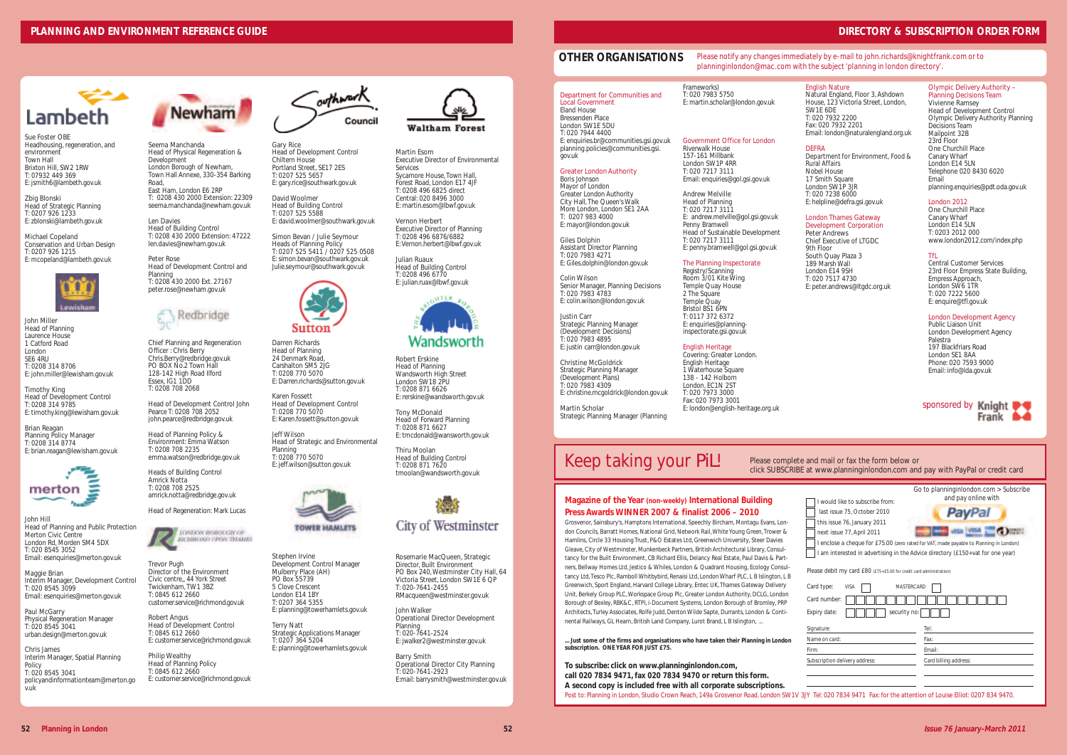### **OTHER ORGANISATIONS**

## Keep taking your *PiL*!

Please complete click SUBSCRIBE

Grosvenor, Sainsbury's, Hamptons International, Speechly Bircham, Montagu Evans, London Councils, Barratt Homes, National Grid, Network Rail, White Young Green, Trower & Hamlins, Circle 33 Housing Trust, P&O Estates Ltd, Greenwich University, Steer Davies Gleave, City of Westminster, Munkenbeck Partners, British Architectural Library, Consultancy for the Built Environment, CB Richard Ellis, Delancy Real Estate, Paul Davis & Partners, Bellway Homes Ltd, Jestico & Whiles, London & Quadrant Housing, Ecology Consultancy Ltd, Tesco Plc, Ramboll Whitbybird, Renaisi Ltd, London Wharf PLC, L B Islington, L B Greenwich, Sport England, Harvard College Library, Entec UK, Thames Gateway Delivery Unit, Berkely Group PLC, Workspace Group Plc, Greater London Authority, DCLG, London Borough of Bexley, RBK&C, RTPI, i-Document Systems, London Borough of Bromley, PRP Architects, Turley Associates, Rolfe Judd, Denton Wilde Sapte, Durrants, London & Continental Railways, GL Hearn, British Land Company, Lurot Brand, L B Islington,

#### **Magazine of the Year (non-weekly) International Building Press Awards WINNER 2007 & finalist 2006 – 2010**

**To subscribe: click on www.planninginlondon.com, call 020 7834 9471, fax 020 7834 9470 or return this form. A second copy is included free with all corporate subscriptions.** Post to: Planning in London, Studio Crown Reach, 149a Grosvenor Road, London SW1V 3J

**... Just some of the firms and organisations who have taken their** *Planning in London* **subscription. ONE YEAR FOR JUST £75.**

#### London Thames Gateway Development Corporation

One Churchill Place Canary Wharf London E14 5LN T: 0203 2012 000 www.london2012.com/index.php

#### Department for Communities and Local Government Eland House Bressenden Place London SW1E 5DU T: 020 7944 4400 E: enquiries.br@communities.gsi.gov.uk planning.policies@communities.gsi.

gov.uk

Greater London Authority Boris Johnson Mayor of London Greater London Authority City Hall, The Queen's Walk More London, London SE1 2AA T: 0207 983 4000 E: mayor@london.gov.uk

Giles Dolphin Assistant Director Planning T: 020 7983 4271 E: Giles.dolphin@london.gov.uk

Michael Copeland Conservation and Urban Design T: 0207 926 1215 E: mcopeland@lambeth.gov.uk



Colin Wilson Senior Manager, Planning Decisions T: 020 7983 4783 E: colin.wilson@london.gov.uk

Justin Carr Strategic Planning Manager (Development Decisions) T: 020 7983 4895 E: justin carr@london.gov.uk

Christine McGoldrick Strategic Planning Manager (Development Plans) T: 020 7983 4309 E: christine.mcgoldrick@london.gov.uk

Martin Scholar Strategic Planning Manager (Planning Frameworks) T: 020 7983 5750 E: martin.scholar@london.gov.uk

#### Government Office for London Riverwalk House 157-161 Millbank London SW1P 4RR T: 020 7217 3111 Email: enquiries@gol.gsi.gov.uk

| and mail or fax the form helow or<br>at www.planninginlondon.com and pay with PayPal or credit card                                                                                                          |                                                                                                                                                            |  |
|--------------------------------------------------------------------------------------------------------------------------------------------------------------------------------------------------------------|------------------------------------------------------------------------------------------------------------------------------------------------------------|--|
| I would like to subscribe from:<br>last issue 75. October 2010<br>this issue 76, January 2011<br>next issue 77, April 2011<br>I am interested in advertising in the Advice directory (£150+vat for one year) | Go to planning inlondon.com $>$ Subscribe<br>and pay online with<br>I enclose a cheque for £75.00 (zero rated for VAT, made payable to Planning in London) |  |
| Please debit my card £80 (£75+£5.00 for credit card administration)<br>Card type:<br><b>VISA</b><br><b>MASTFRCARD</b><br>Card number:<br>Expiry date:<br>security no:                                        |                                                                                                                                                            |  |
| Signature:<br>Name on card:                                                                                                                                                                                  | Tel:<br>Fax:                                                                                                                                               |  |
| Firm <sup>.</sup>                                                                                                                                                                                            | Fmail·                                                                                                                                                     |  |
| Subscription delivery address:                                                                                                                                                                               | Card billing address:                                                                                                                                      |  |
| JY Tel: 020 7834 9471 Fax: for the attention of Louise Elliot: 0207 834 9470.                                                                                                                                |                                                                                                                                                            |  |

Andrew Melville Head of Planning T: 020 7217 3111 E: andrew.melville@gol.gsi.gov.uk Penny Bramwell Head of Sustainable Development T: 020 7217 3111 E: penny.bramwell@gol.gsi.gov.uk

#### The Planning Inspectorate

Registry/Scanning Room 3/01 Kite Wing Temple Quay House 2 The Square Temple Quay Bristol BS1 6PN T: 0117 372 6372 E: enquiries@planninginspectorate.gsi.gov.uk

English Heritage

Covering: Greater London. English Heritage 1 Waterhouse Square 138 - 142 Holborn London, EC1N 2ST T: 020 7973 3000 Fax: 020 7973 3001 E: london@english-heritage.org.uk

#### English Nature

Natural England, Floor 3, Ashdown House, 123 Victoria Street, London, SW1E 6DE T: 020 7932 2200 Fax: 020 7932 2201 Email: london@naturalengland.org.uk

#### **DEFRA**

*Department for Environment, Food & Rural Affairs* Nobel House 17 Smith Square London SW1P 3JR T: 020 7238 6000 E: helpline@defra.gsi.gov.uk

Peter Andrews Chief Executive of LTGDC 9th Floor South Quay Plaza 3 189 Marsh Wall London E14 9SH T: 020 7517 4730 E: peter.andrews@ltgdc.org.uk

#### Olympic Delivery Authority – Planning Decisions Team

Vivienne Ramsey Head of Development Control Olympic Delivery Authority Planning Decisions Team Mailpoint 32B 23rd Floor One Churchill Place Canary Wharf London E14 5LN Telephone 020 8430 6020 Email planning.enquiries@pdt.oda.gov.uk

#### London 2012

#### TfL

Central Customer Services 23rd Floor Empress State Building, Empress Approach, London SW6 1TR T: 020 7222 5600 E: enquire@tfl.gov.uk

#### London Development Agency

Public Liaison Unit London Development Agency Palestra 197 Blackfriars Road London SE1 8AA Phone: 020 7593 9000 Email: info@lda.gov.uk

#### *Please notify any changes immediately by e-mail to john.richards@knightfrank.com or to planninginlondon@mac.com with the subject 'planning in london directory'.*

| sponsored by Knight |       |  |
|---------------------|-------|--|
|                     | Frank |  |

### **DIRECTORY & SUBSCRIPTION ORDER FORM**

Sue Foster OBE Headhousing, regeneration, and environment Town Hall Brixton Hill, SW2 1RW T: 07932 449 369 E: jsmith6@lambeth.gov.uk

Zbig Blonski Head of Strategic Planning T: 0207 926 1233 E: zblonski@lambeth.gov.uk

John Miller Head of Planning Laurence House 1 Catford Road London SE6 4RU T: 0208 314 8706 E: john.miller@lewisham.gov.uk

Timothy King Head of Development Control T: 0208 314 9785 E: timothy.king@lewisham.gov.uk

Brian Reagan Planning Policy Manager T: 0208 314 8774 E: brian.reagan@lewisham.gov.uk



John Hill Head of Planning and Public Protection Merton Civic Centre London Rd, Morden SM4 5DX T: 020 8545 3052 Email: esenquiries@merton.gov.uk

Maggie Brian Interim Manager, Development Control T: 020 8545 3099 Email: esenquiries@merton.gov.uk

Paul McGarry Physical Regeneration Manager T: 020 8545 3041 urban.design@merton.gov.uk

Chris James Interim Manager, Spatial Planning **Policy** T: 020 8545 3041 policyandinformationteam@merton.go v.uk



Seema Manchanda Head of Physical Regeneration & Development London Borough of Newham, Town Hall Annexe, 330-354 Barking Road, East Ham, London E6 2RP T: 0208 430 2000 Extension: 22309 seema.manchanda@newham.gov.uk

Len Davies Head of Building Control T: 0208 430 2000 Extension: 47222 len.davies@newham.gov.uk

Peter Rose Head of Development Control and Planning T: 0208 430 2000 Ext. 27167 peter.rose@newham.gov.uk



Chief Planning and Regeneration Officer : Chris Berry Chris.Berry@redbridge.gov.uk PO BOX No.2 Town Hall 128-142 High Road Ilford Essex, IG1 1DD T: 0208 708 2068

Head of Development Control John Pearce T: 0208 708 2052 john.pearce@redbridge.gov.uk

Head of Planning Policy & Environment: Emma Watson T: 0208 708 2235 emma.watson@redbridge.gov.uk

Heads of Building Control Amrick Notta T: 0208 708 2525 amrick.notta@redbridge.gov.uk

Head of Regeneration: Mark Lucas



Trevor Pugh Director of the Environment Civic centre,, 44 York Street Twickenham, TW1 3BZ T: 0845 612 2660 customer.service@richmond.gov.uk

Robert Angus Head of Development Control T: 0845 612 2660 E: customer.service@richmond.gov.uk

Philip Wealthy Head of Planning Policy T: 0845 612 2660 E: customer.service@richmond.gov.uk



Gary Rice Head of Development Control Chiltern House Portland Street, SE17 2FS T: 0207 525 5657 E: gary.rice@southwark.gov.uk

David Woolmer Head of Building Control T: 0207 525 558 E: david.woolmer@southwark.gov.uk

Simon Bevan / Julie Seymour Heads of Planning Policy T: 0207 525 5411 / 0207 525 0508 E: simon.bevan@southwark.gov.uk Julie.seymour@southwark.gov.uk



Darren Richards Head of Planning 24 Denmark Road Carshalton SM5 2JG T: 0208 770 5070 E: Darren.richards@sutton.gov.uk

Karen Fossett Head of Development Control T: 0208 770 5070 E: Karen.fossett@sutton.gov.uk

Jeff Wilson Head of Strategic and Environmental Planning T: 0208 770 5070 E: jeff.wilson@sutton.gov.uk



Stephen Irvine Development Control Manager Mulberry Place (AH) PO Box 55739 5 Clove Crescent London E14 1BY T: 0207 364 5355 E: planning@towerhamlets.gov.uk

Terry Natt Strategic Applications Manager T: 0207 364 5204 E: planning@towerhamlets.gov.uk



Martin Esom Executive Director of Environmental Services Sycamore House, Town Hall, Forest Road, London E17 4JF

T: 0208 496 6825 direct Central: 020 8496 3000 E: martin.esom@lbwf.gov.uk

Vernon Herbert Executive Director of Planning T: 0208 496 6876/6882 E: Vernon.herbert@lbwf.gov.uk

Julian Ruaux Head of Building Control T: 0208 496 6770 E: julian.ruax@lbwf.gov.uk



Robert Erskine Head of Planning Wandsworth High Street London SW18 2PU T: 0208 871 6626 E: rerskine@wandsworth.gov.uk

Tony McDonald Head of Forward Planning T: 0208 871 6627 E: tmcdonald@wansworth.gov.uk

Thiru Moolan Head of Building Control T: 0208 871 7620 tmoolan@wandsworth.gov.uk



Rosemarie MacQueen, Strategic Director, Built Environment PO Box 240, Westminster City Hall, 64 Victoria Street, London SW1E 6 QP T: 020-7641-2455 RMacqueen@westminster.gov.uk

John Walker Operational Director Development Planning T: 020-7641-2524 E: jwalker2@westminster.gov.uk

Barry Smith Operational Director City Planning T: 020-7641-2923 E:mail: barrysmith@westminster.gov.uk

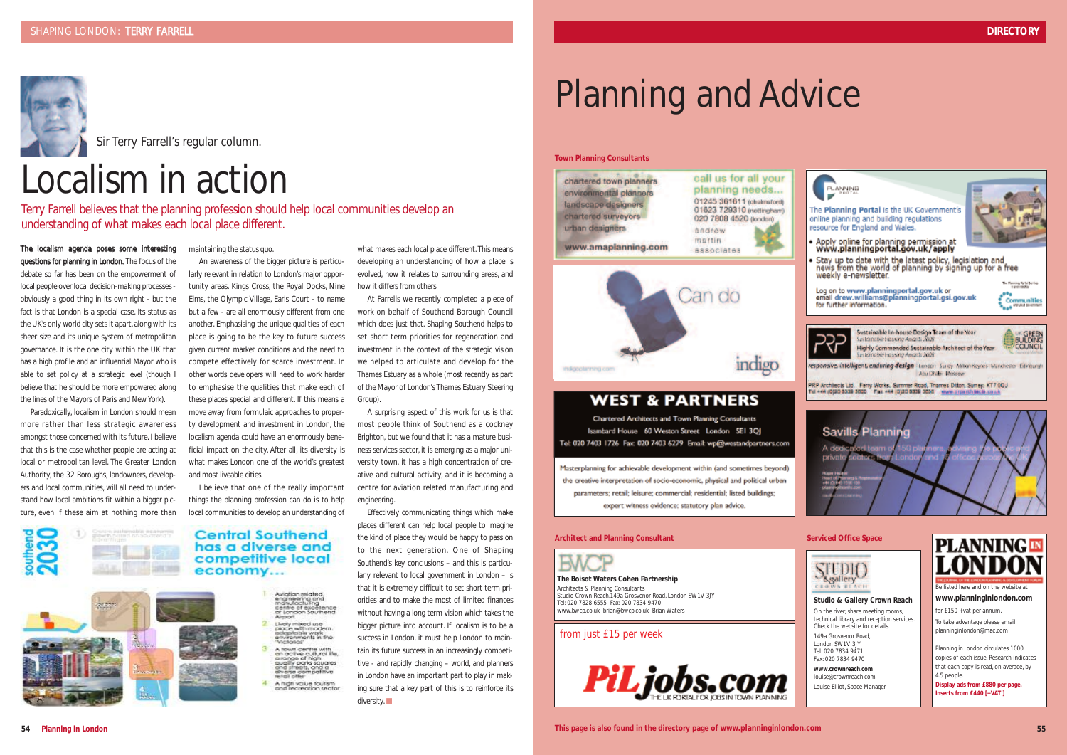# Planning and Advice

#### **Town Planning Consultants**



## **WEST & PARTNERS**

indigo

Chartered Architects and Town Planning Consultants Isambard House 60 Weston Street London SEI 3OI Tel: 020 7403 1726 Fax: 020 7403 6279 Email: wp@westandpartners.com

Masterplanning for achievable development within (and sometimes beyond) the creative interpretation of socio-economic, physical and political urban parameters; retail; leisure; commercial; residential; listed buildings; expert witness evidence; statutory plan advice.

**The Boisot Waters Cohen Partnership** Architects & Planning Consultants Studio Crown Reach,149a Grosvenor Road, London SW1V 3JY Tel: 020 7828 6555 Fax: 020 7834 9470 www.bwcp.co.uk brian@bwcp.co.uk Brian Waters

#### **Architect and Planning Consultant Serviced Office Space**



indigoptenning com

#### **Studio & Gallery Crown Reach**

On the river; share meeting rooms, technical library and reception services. Check the website for details.

149a Grosvenor Road, London SW1V 3JY Tel: 020 7834 9471 Fax: 020 7834 9470

**www.crownreach.com** louise@crownreach.com Louise Elliot, Space Manager



Be listed here and on the website at **www.planninginlondon.com** 

for £150 +vat per annum.

To take advantage please email planninginlondon@mac.com

*Planning in London* circulates 1000 copies of each issue. Research indicates that each copy is read, on average, by 4.5 people.

**Display ads from £880 per page. Inserts from £440 [+VAT ]**

#### from just £15 per week







**54 Planning in London This page is also found in the directory page of** *www.planninginlondon.com* **55**

The localism agenda poses some interesting questions for planning in London. The focus of the debate so far has been on the empowerment of local people over local decision-making processes obviously a good thing in its own right - but the fact is that London is a special case. Its status as the UK's only world city sets it apart, along with its sheer size and its unique system of metropolitan governance. It is the one city within the UK that has a high profile and an influential Mayor who is able to set policy at a strategic level (though I believe that he should be more empowered along the lines of the Mayors of Paris and New York).

Paradoxically, localism in London should mean more rather than less strategic awareness amongst those concerned with its future. I believe that this is the case whether people are acting at local or metropolitan level. The Greater London Authority, the 32 Boroughs, landowners, developers and local communities, will all need to understand how local ambitions fit within a bigger picture, even if these aim at nothing more than maintaining the status quo.

An awareness of the bigger picture is particularly relevant in relation to London's major opportunity areas. Kings Cross, the Royal Docks, Nine Elms, the Olympic Village, Earls Court - to name but a few - are all enormously different from one another. Emphasising the unique qualities of each place is going to be the key to future success given current market conditions and the need to compete effectively for scarce investment. In other words developers will need to work harder to emphasise the qualities that make each of these places special and different. If this means a move away from formulaic approaches to property development and investment in London, the localism agenda could have an enormously beneficial impact on the city. After all, its diversity is what makes London one of the world's greatest and most liveable cities.

I believe that one of the really important things the planning profession can do is to help local communities to develop an understanding of



Aviation related<br>engineering and<br>manufactuling<br>centre of excelence<br>of London Southend Lively mixed use<br>place with modern,<br>placestable work<br>environments in the<br>"Victorias" A fown centre with<br>an active cultural the<br>anage of high<br>quality parks squares<br>and strests, and a<br>cliverse competitive<br>trests competitive<br>trests competitive A high value fourism what makes each local place different. This means developing an understanding of how a place is evolved, how it relates to surrounding areas, and how it differs from others.

At Farrells we recently completed a piece of work on behalf of Southend Borough Council which does just that. Shaping Southend helps to set short term priorities for regeneration and investment in the context of the strategic vision we helped to articulate and develop for the Thames Estuary as a whole (most recently as part of the Mayor of London's Thames Estuary Steering Group).

A surprising aspect of this work for us is that most people think of Southend as a cockney Brighton, but we found that it has a mature business services sector, it is emerging as a major university town, it has a high concentration of creative and cultural activity, and it is becoming a centre for aviation related manufacturing and engineering.

Effectively communicating things which make places different can help local people to imagine the kind of place they would be happy to pass on to the next generation. One of Shaping Southend's key conclusions – and this is particularly relevant to local government in London – is that it is extremely difficult to set short term priorities and to make the most of limited finances without having a long term vision which takes the bigger picture into account. If localism is to be a success in London, it must help London to maintain its future success in an increasingly competitive - and rapidly changing – world, and planners in London have an important part to play in making sure that a key part of this is to reinforce its diversity. ■



Sir Terry Farrell's regular column.

## Localism in action

Terry Farrell believes that the planning profession should help local communities develop an understanding of what makes each local place different.